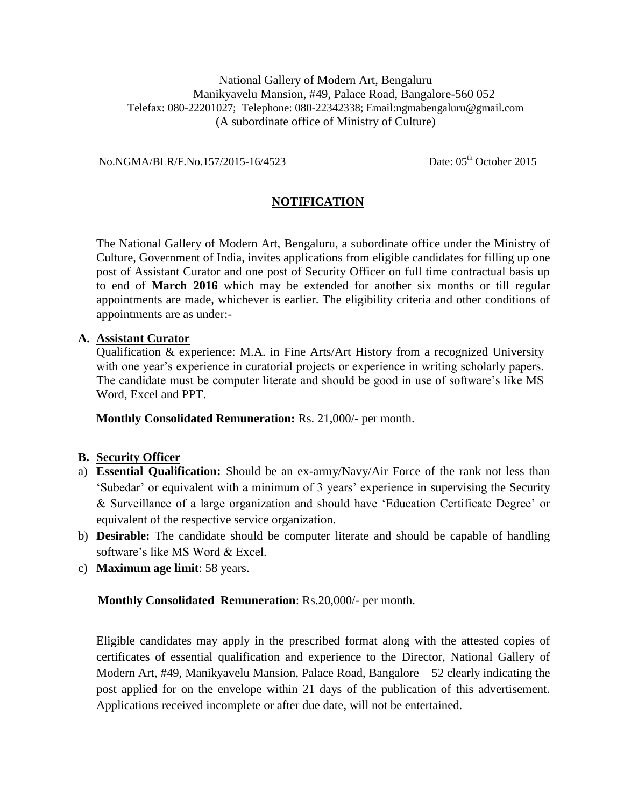No.NGMA/BLR/F.No.157/2015-16/4523 Date: 05<sup>th</sup> October 2015

# **NOTIFICATION**

The National Gallery of Modern Art, Bengaluru, a subordinate office under the Ministry of Culture, Government of India, invites applications from eligible candidates for filling up one post of Assistant Curator and one post of Security Officer on full time contractual basis up to end of **March 2016** which may be extended for another six months or till regular appointments are made, whichever is earlier. The eligibility criteria and other conditions of appointments are as under:-

#### **A. Assistant Curator**

Qualification & experience: M.A. in Fine Arts/Art History from a recognized University with one year's experience in curatorial projects or experience in writing scholarly papers. The candidate must be computer literate and should be good in use of software's like MS Word, Excel and PPT.

**Monthly Consolidated Remuneration:** Rs. 21,000/- per month.

## **B. Security Officer**

- a) **Essential Qualification:** Should be an ex-army/Navy/Air Force of the rank not less than 'Subedar' or equivalent with a minimum of 3 years' experience in supervising the Security & Surveillance of a large organization and should have 'Education Certificate Degree' or equivalent of the respective service organization.
- b) **Desirable:** The candidate should be computer literate and should be capable of handling software's like MS Word & Excel.
- c) **Maximum age limit**: 58 years.

## **Monthly Consolidated Remuneration**: Rs.20,000/- per month.

Eligible candidates may apply in the prescribed format along with the attested copies of certificates of essential qualification and experience to the Director, National Gallery of Modern Art, #49, Manikyavelu Mansion, Palace Road, Bangalore – 52 clearly indicating the post applied for on the envelope within 21 days of the publication of this advertisement. Applications received incomplete or after due date, will not be entertained.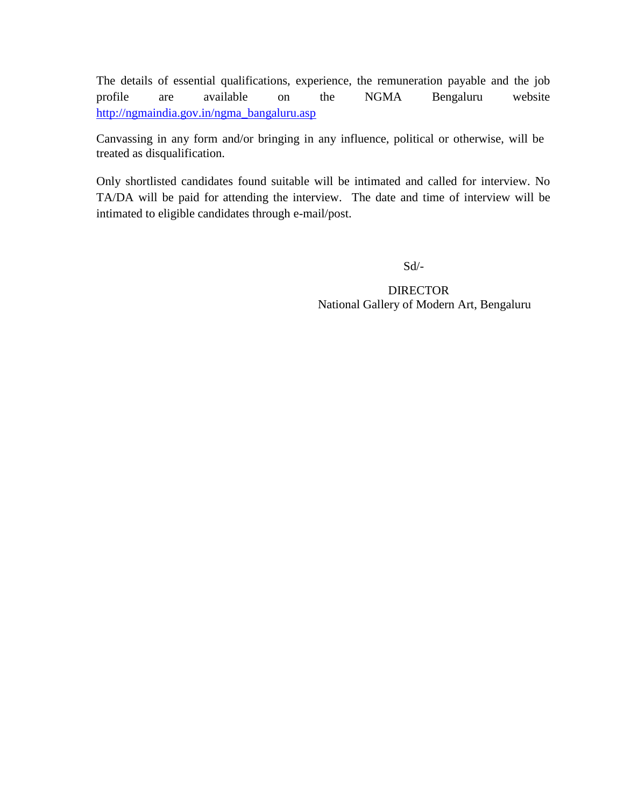The details of essential qualifications, experience, the remuneration payable and the job profile are available on the NGMA Bengaluru website [http://ngmaindia.gov.in/ngma\\_bangaluru.asp](http://ngmaindia.gov.in/ngma_bangaluru.asp)

Canvassing in any form and/or bringing in any influence, political or otherwise, will be treated as disqualification.

Only shortlisted candidates found suitable will be intimated and called for interview. No TA/DA will be paid for attending the interview. The date and time of interview will be intimated to eligible candidates through e-mail/post.

Sd/-

 DIRECTOR National Gallery of Modern Art, Bengaluru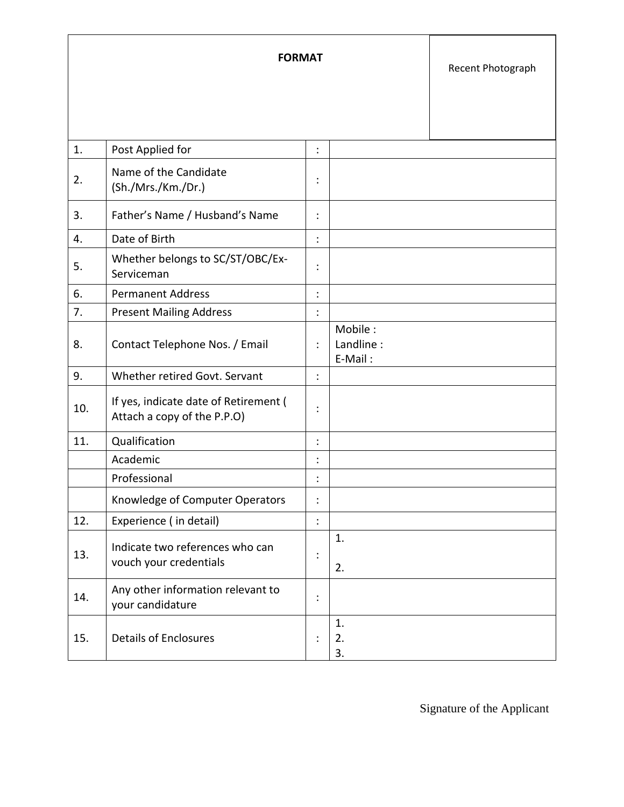| <b>FORMAT</b> |                                                                      |                |                                 | Recent Photograph |
|---------------|----------------------------------------------------------------------|----------------|---------------------------------|-------------------|
| 1.            | Post Applied for                                                     | $\vdots$       |                                 |                   |
| 2.            | Name of the Candidate<br>(Sh./Mrs./Km./Dr.)                          | $\vdots$       |                                 |                   |
| 3.            | Father's Name / Husband's Name                                       | :              |                                 |                   |
| 4.            | Date of Birth                                                        | $\ddot{\cdot}$ |                                 |                   |
| 5.            | Whether belongs to SC/ST/OBC/Ex-<br>Serviceman                       | :              |                                 |                   |
| 6.            | <b>Permanent Address</b>                                             | $\vdots$       |                                 |                   |
| 7.            | <b>Present Mailing Address</b>                                       | $\ddot{\cdot}$ |                                 |                   |
| 8.            | Contact Telephone Nos. / Email                                       | $\ddot{\cdot}$ | Mobile:<br>Landline:<br>E-Mail: |                   |
| 9.            | Whether retired Govt. Servant                                        | $\ddot{\cdot}$ |                                 |                   |
| 10.           | If yes, indicate date of Retirement (<br>Attach a copy of the P.P.O) | :              |                                 |                   |
| 11.           | Qualification                                                        | $\ddot{\cdot}$ |                                 |                   |
|               | Academic                                                             | $\vdots$       |                                 |                   |
|               | Professional                                                         | ÷              |                                 |                   |
|               | Knowledge of Computer Operators                                      | $\ddot{\cdot}$ |                                 |                   |
| 12.           | Experience (in detail)                                               | $\vdots$       |                                 |                   |
| 13.           | Indicate two references who can<br>vouch your credentials            | $\vdots$       | 1.<br>2.                        |                   |
| 14.           | Any other information relevant to<br>your candidature                | $\vdots$       |                                 |                   |
| 15.           | <b>Details of Enclosures</b>                                         | $\vdots$       | 1.<br>2.<br>3.                  |                   |

Signature of the Applicant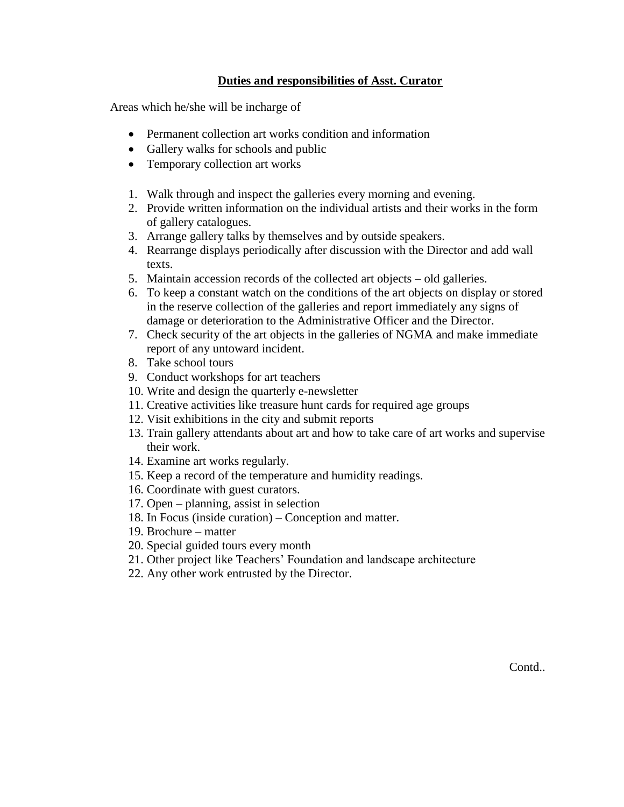# **Duties and responsibilities of Asst. Curator**

Areas which he/she will be incharge of

- Permanent collection art works condition and information
- Gallery walks for schools and public
- Temporary collection art works
- 1. Walk through and inspect the galleries every morning and evening.
- 2. Provide written information on the individual artists and their works in the form of gallery catalogues.
- 3. Arrange gallery talks by themselves and by outside speakers.
- 4. Rearrange displays periodically after discussion with the Director and add wall texts.
- 5. Maintain accession records of the collected art objects old galleries.
- 6. To keep a constant watch on the conditions of the art objects on display or stored in the reserve collection of the galleries and report immediately any signs of damage or deterioration to the Administrative Officer and the Director.
- 7. Check security of the art objects in the galleries of NGMA and make immediate report of any untoward incident.
- 8. Take school tours
- 9. Conduct workshops for art teachers
- 10. Write and design the quarterly e-newsletter
- 11. Creative activities like treasure hunt cards for required age groups
- 12. Visit exhibitions in the city and submit reports
- 13. Train gallery attendants about art and how to take care of art works and supervise their work.
- 14. Examine art works regularly.
- 15. Keep a record of the temperature and humidity readings.
- 16. Coordinate with guest curators.
- 17. Open planning, assist in selection
- 18. In Focus (inside curation) Conception and matter.
- 19. Brochure matter
- 20. Special guided tours every month
- 21. Other project like Teachers' Foundation and landscape architecture
- 22. Any other work entrusted by the Director.